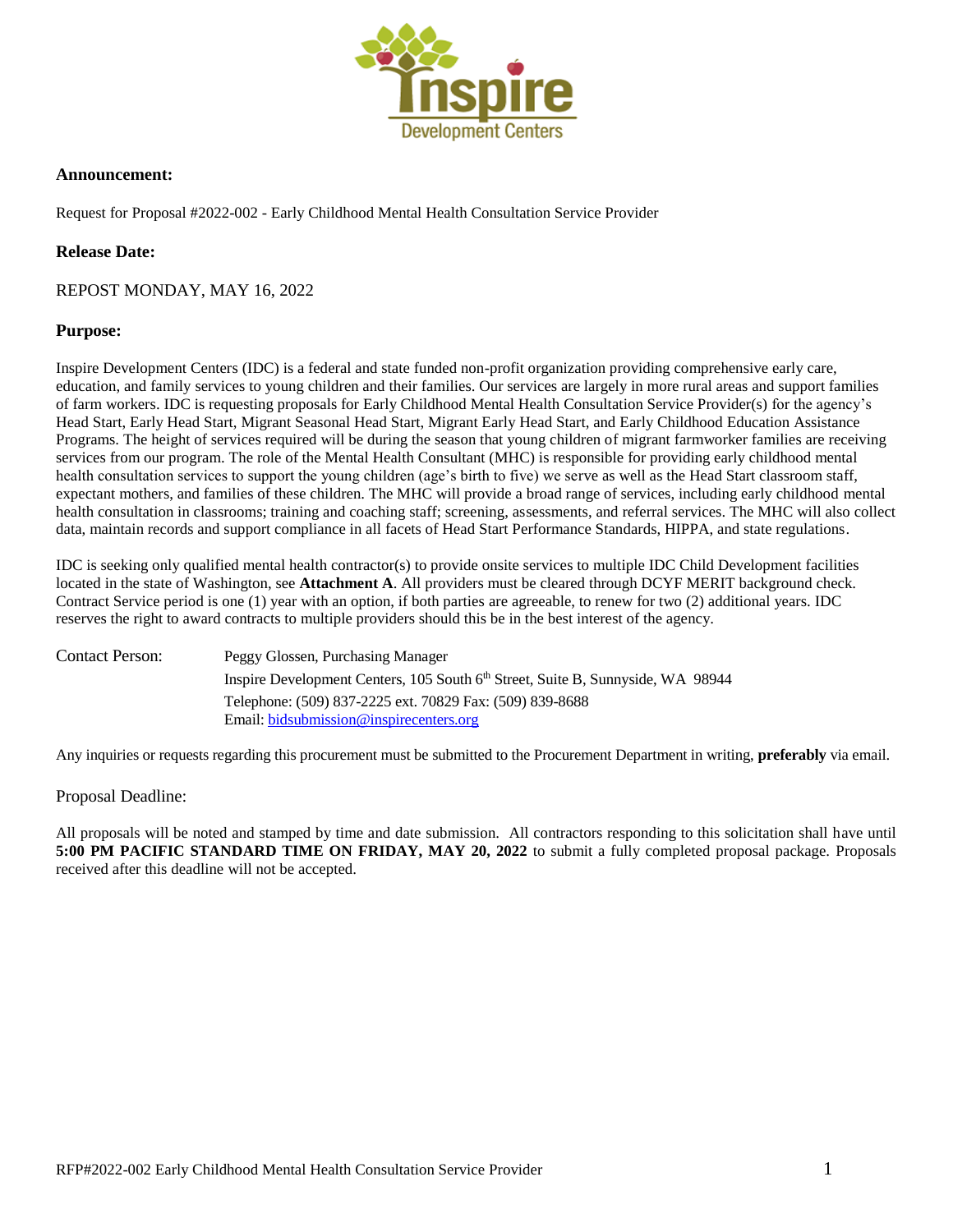

### **Announcement:**

Request for Proposal #2022-002 - Early Childhood Mental Health Consultation Service Provider

## **Release Date:**

## REPOST MONDAY, MAY 16, 2022

## **Purpose:**

Inspire Development Centers (IDC) is a federal and state funded non-profit organization providing comprehensive early care, education, and family services to young children and their families. Our services are largely in more rural areas and support families of farm workers. IDC is requesting proposals for Early Childhood Mental Health Consultation Service Provider(s) for the agency's Head Start, Early Head Start, Migrant Seasonal Head Start, Migrant Early Head Start, and Early Childhood Education Assistance Programs. The height of services required will be during the season that young children of migrant farmworker families are receiving services from our program. The role of the Mental Health Consultant (MHC) is responsible for providing early childhood mental health consultation services to support the young children (age's birth to five) we serve as well as the Head Start classroom staff, expectant mothers, and families of these children. The MHC will provide a broad range of services, including early childhood mental health consultation in classrooms; training and coaching staff; screening, assessments, and referral services. The MHC will also collect data, maintain records and support compliance in all facets of Head Start Performance Standards, HIPPA, and state regulations.

IDC is seeking only qualified mental health contractor(s) to provide onsite services to multiple IDC Child Development facilities located in the state of Washington, see **Attachment A**. All providers must be cleared through DCYF MERIT background check. Contract Service period is one (1) year with an option, if both parties are agreeable, to renew for two (2) additional years. IDC reserves the right to award contracts to multiple providers should this be in the best interest of the agency.

| Contact Person: | Peggy Glossen, Purchasing Manager                                                           |
|-----------------|---------------------------------------------------------------------------------------------|
|                 | Inspire Development Centers, 105 South 6 <sup>th</sup> Street, Suite B, Sunnyside, WA 98944 |
|                 | Telephone: (509) 837-2225 ext. 70829 Fax: (509) 839-8688                                    |
|                 | Email: bidsubmission@inspirecenters.org                                                     |

Any inquiries or requests regarding this procurement must be submitted to the Procurement Department in writing, **preferably** via email.

## Proposal Deadline:

All proposals will be noted and stamped by time and date submission. All contractors responding to this solicitation shall have until **5:00 PM PACIFIC STANDARD TIME ON FRIDAY, MAY 20, 2022** to submit a fully completed proposal package. Proposals received after this deadline will not be accepted.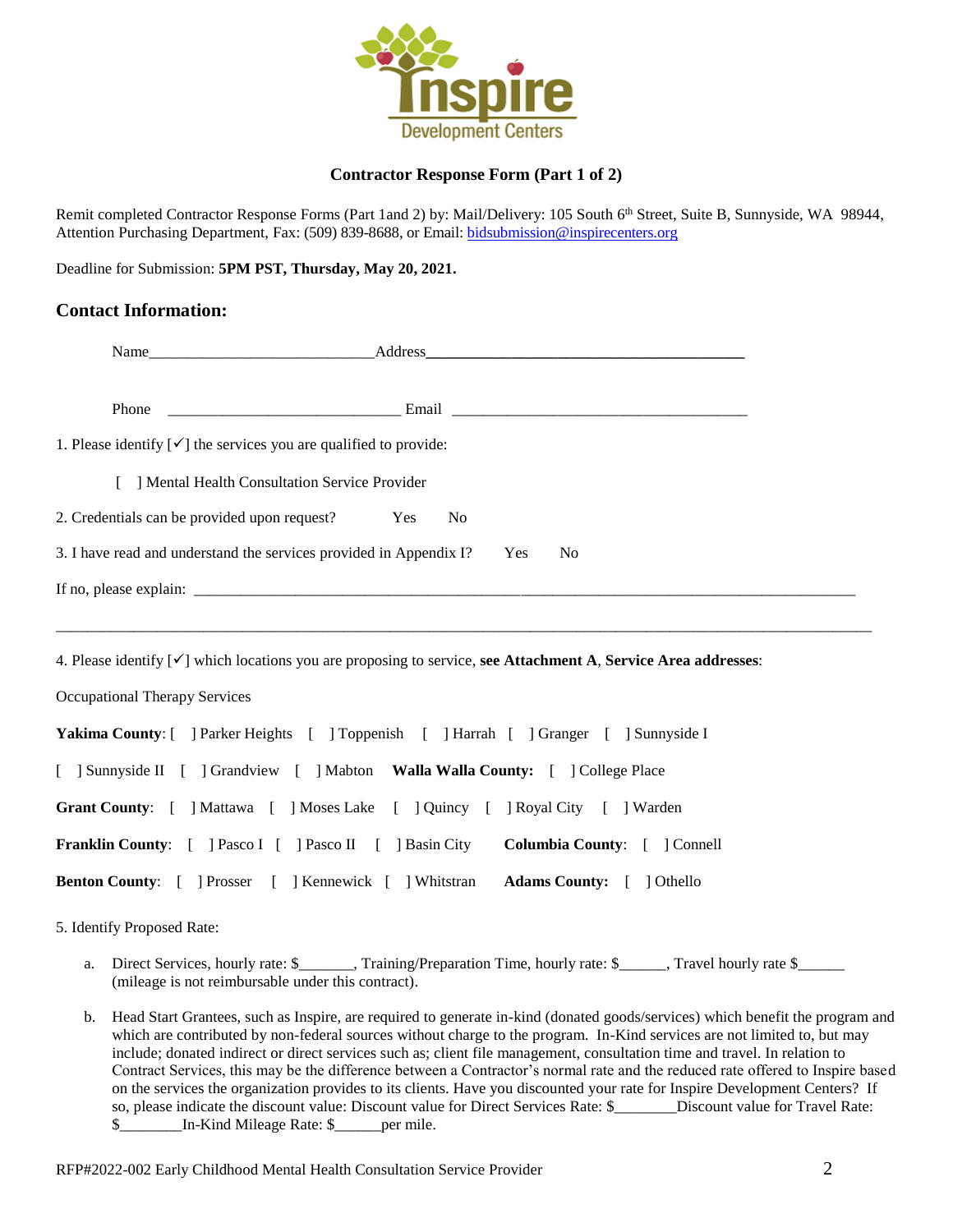

## **Contractor Response Form (Part 1 of 2)**

Remit completed Contractor Response Forms (Part 1and 2) by: Mail/Delivery: 105 South 6<sup>th</sup> Street, Suite B, Sunnyside, WA 98944, Attention Purchasing Department, Fax: (509) 839-8688, or Email[: bidsubmission@inspirecenters.org](mailto:bidsubmission@inspirecenters.org)

Deadline for Submission: **5PM PST, Thursday, May 20, 2021.**

## **Contact Information:**

| 1. Please identify $[\checkmark]$ the services you are qualified to provide:                                              |  |  |  |  |
|---------------------------------------------------------------------------------------------------------------------------|--|--|--|--|
| [ ] Mental Health Consultation Service Provider                                                                           |  |  |  |  |
| 2. Credentials can be provided upon request?<br>N <sub>o</sub><br>Yes                                                     |  |  |  |  |
| 3. I have read and understand the services provided in Appendix I?<br>Yes<br>N <sub>0</sub>                               |  |  |  |  |
|                                                                                                                           |  |  |  |  |
|                                                                                                                           |  |  |  |  |
| 4. Please identify $[\checkmark]$ which locations you are proposing to service, see Attachment A, Service Area addresses: |  |  |  |  |
| <b>Occupational Therapy Services</b>                                                                                      |  |  |  |  |
| Yakima County: [ ] Parker Heights [ ] Toppenish [ ] Harrah [ ] Granger [ ] Sunnyside I                                    |  |  |  |  |
| [ ] Sunnyside II [ ] Grandview [ ] Mabton Walla Walla County: [ ] College Place                                           |  |  |  |  |
| Grant County: [ ] Mattawa [ ] Moses Lake [ ] Quincy [ ] Royal City [ ] Warden                                             |  |  |  |  |
| <b>Franklin County:</b> [ ] Pasco I [ ] Pasco II [ ] Basin City <b>Columbia County:</b> [ ] Connell                       |  |  |  |  |
| Benton County: [ ] Prosser [ ] Kennewick [ ] Whitstran Adams County: [ ] Othello                                          |  |  |  |  |

5. Identify Proposed Rate:

- a. Direct Services, hourly rate: \$\_\_\_\_\_\_, Training/Preparation Time, hourly rate: \$\_\_\_\_, Travel hourly rate \$\_\_\_\_\_ (mileage is not reimbursable under this contract).
- b. Head Start Grantees, such as Inspire, are required to generate in-kind (donated goods/services) which benefit the program and which are contributed by non-federal sources without charge to the program. In-Kind services are not limited to, but may include; donated indirect or direct services such as; client file management, consultation time and travel. In relation to Contract Services, this may be the difference between a Contractor's normal rate and the reduced rate offered to Inspire based on the services the organization provides to its clients. Have you discounted your rate for Inspire Development Centers? If so, please indicate the discount value: Discount value for Direct Services Rate: \$ Discount value for Travel Rate: \$ In-Kind Mileage Rate: \$ per mile.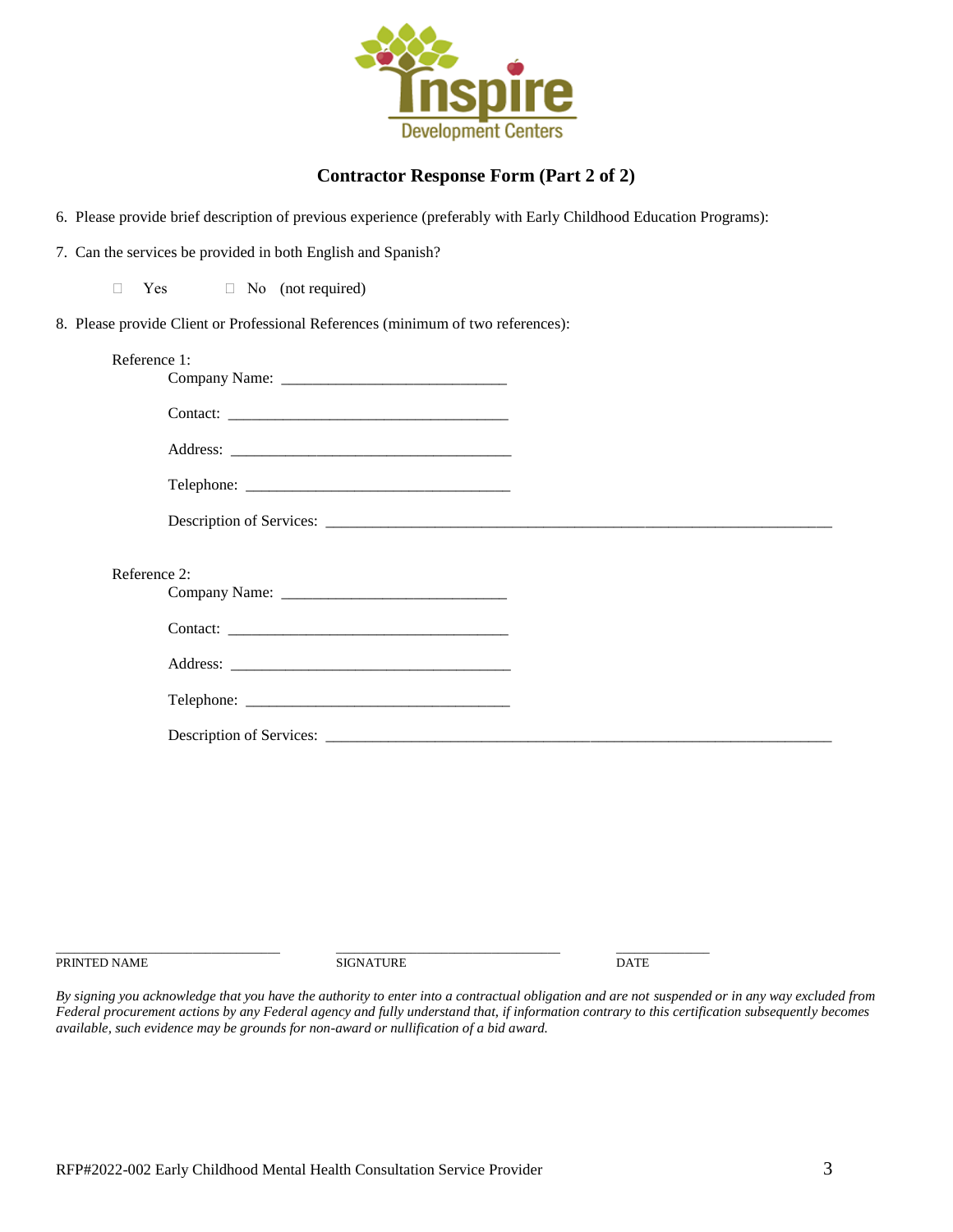

# **Contractor Response Form (Part 2 of 2)**

6. Please provide brief description of previous experience (preferably with Early Childhood Education Programs):

7. Can the services be provided in both English and Spanish?

 $\Box$  Yes  $\Box$  No (not required)

8. Please provide Client or Professional References (minimum of two references):

| Reference 1: |  |
|--------------|--|
|              |  |
|              |  |
|              |  |
|              |  |
| Reference 2: |  |
|              |  |
|              |  |
|              |  |
|              |  |

PRINTED NAME DATE

\_\_\_\_\_\_\_\_\_\_\_\_\_\_\_\_\_\_\_\_\_\_\_\_\_\_\_\_\_\_\_\_\_\_\_\_ \_\_\_\_\_\_\_\_\_\_\_\_\_\_\_\_\_\_\_\_\_\_\_\_\_\_\_\_\_\_\_\_\_\_\_\_ \_\_\_\_\_\_\_\_\_\_\_\_\_\_\_

*By signing you acknowledge that you have the authority to enter into a contractual obligation and are not suspended or in any way excluded from Federal procurement actions by any Federal agency and fully understand that, if information contrary to this certification subsequently becomes available, such evidence may be grounds for non-award or nullification of a bid award.*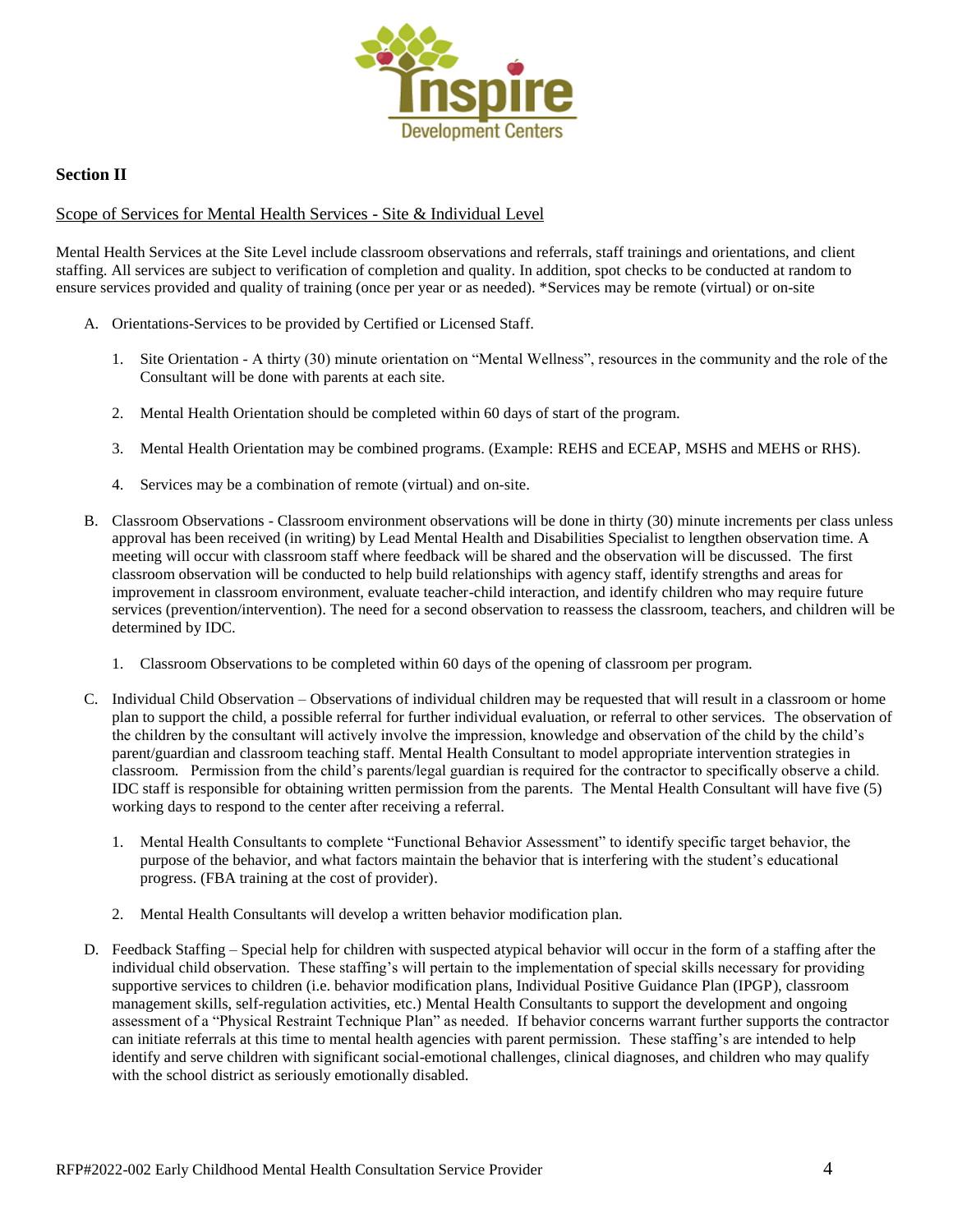

## **Section II**

## Scope of Services for Mental Health Services - Site & Individual Level

Mental Health Services at the Site Level include classroom observations and referrals, staff trainings and orientations, and client staffing. All services are subject to verification of completion and quality. In addition, spot checks to be conducted at random to ensure services provided and quality of training (once per year or as needed). \*Services may be remote (virtual) or on-site

- A. Orientations-Services to be provided by Certified or Licensed Staff.
	- 1. Site Orientation A thirty (30) minute orientation on "Mental Wellness", resources in the community and the role of the Consultant will be done with parents at each site.
	- 2. Mental Health Orientation should be completed within 60 days of start of the program.
	- 3. Mental Health Orientation may be combined programs. (Example: REHS and ECEAP, MSHS and MEHS or RHS).
	- 4. Services may be a combination of remote (virtual) and on-site.
- B. Classroom Observations Classroom environment observations will be done in thirty (30) minute increments per class unless approval has been received (in writing) by Lead Mental Health and Disabilities Specialist to lengthen observation time. A meeting will occur with classroom staff where feedback will be shared and the observation will be discussed. The first classroom observation will be conducted to help build relationships with agency staff, identify strengths and areas for improvement in classroom environment, evaluate teacher-child interaction, and identify children who may require future services (prevention/intervention). The need for a second observation to reassess the classroom, teachers, and children will be determined by IDC.
	- 1. Classroom Observations to be completed within 60 days of the opening of classroom per program.
- C. Individual Child Observation Observations of individual children may be requested that will result in a classroom or home plan to support the child, a possible referral for further individual evaluation, or referral to other services. The observation of the children by the consultant will actively involve the impression, knowledge and observation of the child by the child's parent/guardian and classroom teaching staff. Mental Health Consultant to model appropriate intervention strategies in classroom. Permission from the child's parents/legal guardian is required for the contractor to specifically observe a child. IDC staff is responsible for obtaining written permission from the parents. The Mental Health Consultant will have five (5) working days to respond to the center after receiving a referral.
	- 1. Mental Health Consultants to complete "Functional Behavior Assessment" to identify specific target behavior, the purpose of the behavior, and what factors maintain the behavior that is interfering with the student's educational progress. (FBA training at the cost of provider).
	- 2. Mental Health Consultants will develop a written behavior modification plan.
- D. Feedback Staffing Special help for children with suspected atypical behavior will occur in the form of a staffing after the individual child observation. These staffing's will pertain to the implementation of special skills necessary for providing supportive services to children (i.e. behavior modification plans, Individual Positive Guidance Plan (IPGP), classroom management skills, self-regulation activities, etc.) Mental Health Consultants to support the development and ongoing assessment of a "Physical Restraint Technique Plan" as needed. If behavior concerns warrant further supports the contractor can initiate referrals at this time to mental health agencies with parent permission. These staffing's are intended to help identify and serve children with significant social-emotional challenges, clinical diagnoses, and children who may qualify with the school district as seriously emotionally disabled.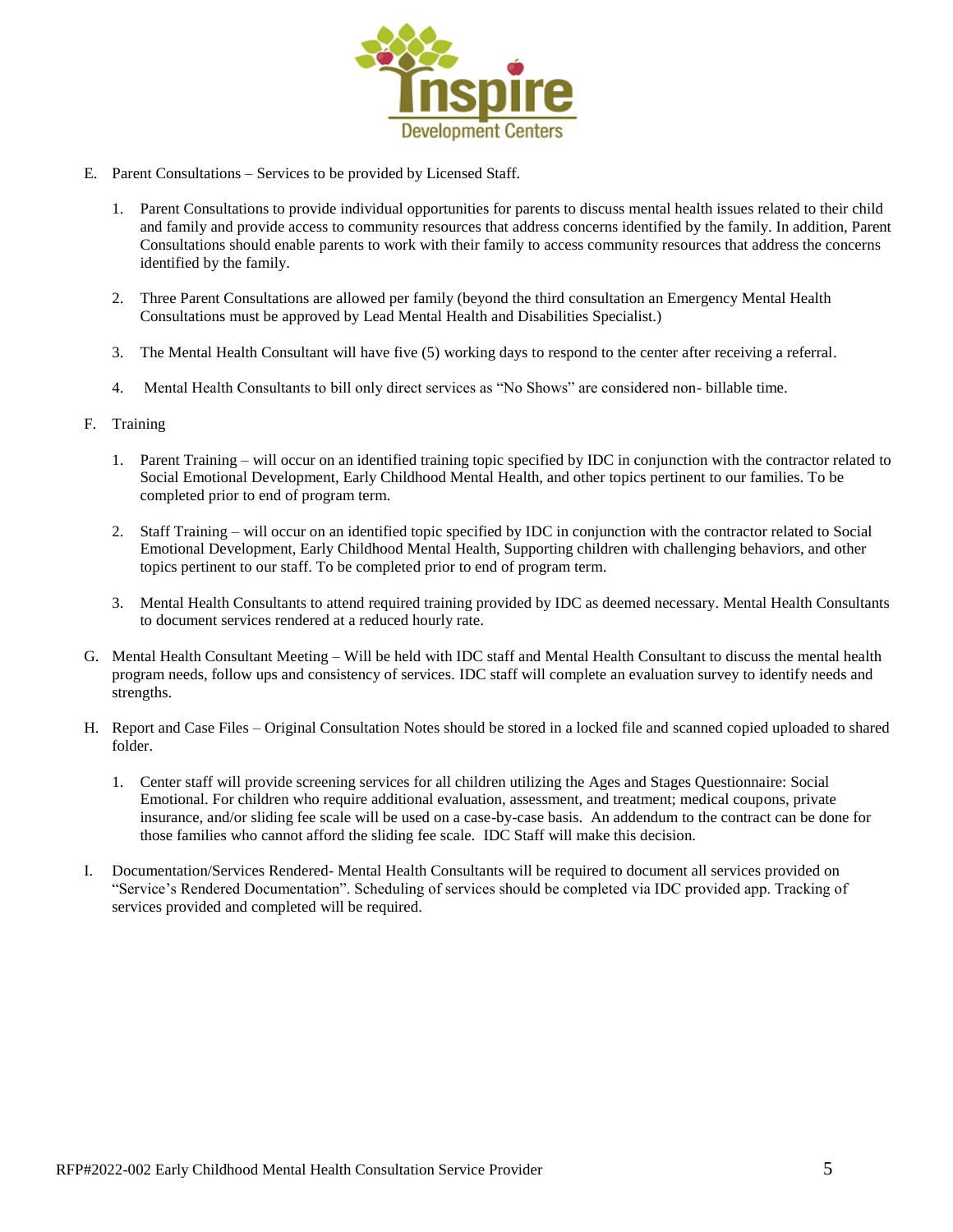

- E. Parent Consultations Services to be provided by Licensed Staff.
	- 1. Parent Consultations to provide individual opportunities for parents to discuss mental health issues related to their child and family and provide access to community resources that address concerns identified by the family. In addition, Parent Consultations should enable parents to work with their family to access community resources that address the concerns identified by the family.
	- 2. Three Parent Consultations are allowed per family (beyond the third consultation an Emergency Mental Health Consultations must be approved by Lead Mental Health and Disabilities Specialist.)
	- 3. The Mental Health Consultant will have five (5) working days to respond to the center after receiving a referral.
	- 4. Mental Health Consultants to bill only direct services as "No Shows" are considered non- billable time.
- F. Training
	- 1. Parent Training will occur on an identified training topic specified by IDC in conjunction with the contractor related to Social Emotional Development, Early Childhood Mental Health, and other topics pertinent to our families. To be completed prior to end of program term.
	- 2. Staff Training will occur on an identified topic specified by IDC in conjunction with the contractor related to Social Emotional Development, Early Childhood Mental Health, Supporting children with challenging behaviors, and other topics pertinent to our staff. To be completed prior to end of program term.
	- 3. Mental Health Consultants to attend required training provided by IDC as deemed necessary. Mental Health Consultants to document services rendered at a reduced hourly rate.
- G. Mental Health Consultant Meeting Will be held with IDC staff and Mental Health Consultant to discuss the mental health program needs, follow ups and consistency of services. IDC staff will complete an evaluation survey to identify needs and strengths.
- H. Report and Case Files Original Consultation Notes should be stored in a locked file and scanned copied uploaded to shared folder.
	- 1. Center staff will provide screening services for all children utilizing the Ages and Stages Questionnaire: Social Emotional. For children who require additional evaluation, assessment, and treatment; medical coupons, private insurance, and/or sliding fee scale will be used on a case-by-case basis. An addendum to the contract can be done for those families who cannot afford the sliding fee scale. IDC Staff will make this decision.
- I. Documentation/Services Rendered- Mental Health Consultants will be required to document all services provided on "Service's Rendered Documentation". Scheduling of services should be completed via IDC provided app. Tracking of services provided and completed will be required.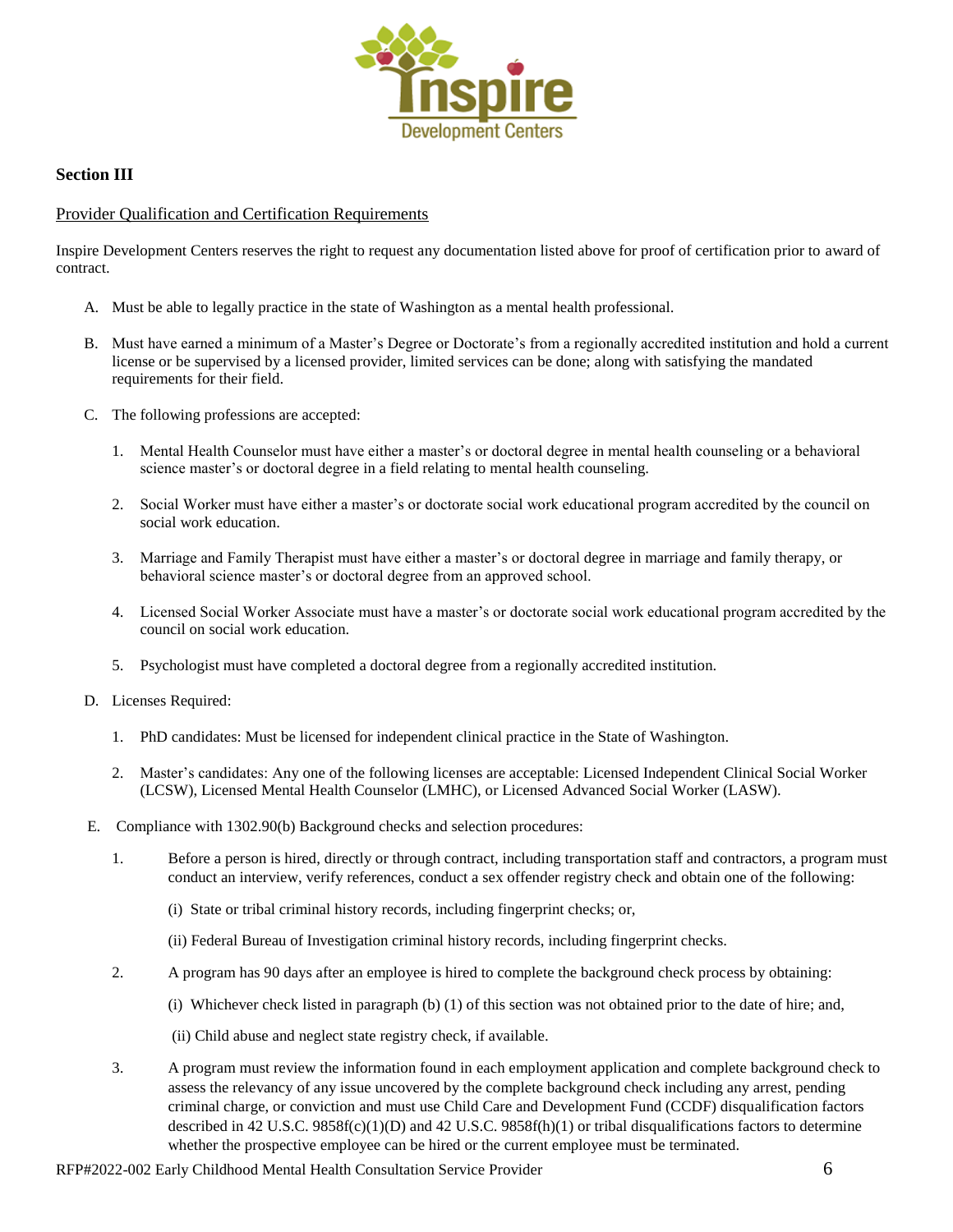

## **Section III**

## Provider Qualification and Certification Requirements

Inspire Development Centers reserves the right to request any documentation listed above for proof of certification prior to award of contract.

- A. Must be able to legally practice in the state of Washington as a mental health professional.
- B. Must have earned a minimum of a Master's Degree or Doctorate's from a regionally accredited institution and hold a current license or be supervised by a licensed provider, limited services can be done; along with satisfying the mandated requirements for their field.
- C. The following professions are accepted:
	- 1. Mental Health Counselor must have either a master's or doctoral degree in mental health counseling or a behavioral science master's or doctoral degree in a field relating to mental health counseling.
	- 2. Social Worker must have either a master's or doctorate social work educational program accredited by the council on social work education.
	- 3. Marriage and Family Therapist must have either a master's or doctoral degree in marriage and family therapy, or behavioral science master's or doctoral degree from an approved school.
	- 4. Licensed Social Worker Associate must have a master's or doctorate social work educational program accredited by the council on social work education.
	- 5. Psychologist must have completed a doctoral degree from a regionally accredited institution.
- D. Licenses Required:
	- 1. PhD candidates: Must be licensed for independent clinical practice in the State of Washington.
	- 2. Master's candidates: Any one of the following licenses are acceptable: Licensed Independent Clinical Social Worker (LCSW), Licensed Mental Health Counselor (LMHC), or Licensed Advanced Social Worker (LASW).
- E. Compliance with 1302.90(b) Background checks and selection procedures:
	- 1. Before a person is hired, directly or through contract, including transportation staff and contractors, a program must conduct an interview, verify references, conduct a sex offender registry check and obtain one of the following:
		- (i) State or tribal criminal history records, including fingerprint checks; or,
		- (ii) Federal Bureau of Investigation criminal history records, including fingerprint checks.
	- 2. A program has 90 days after an employee is hired to complete the background check process by obtaining:
		- (i) Whichever check listed in paragraph (b) (1) of this section was not obtained prior to the date of hire; and,
		- (ii) Child abuse and neglect state registry check, if available.
	- 3. A program must review the information found in each employment application and complete background check to assess the relevancy of any issue uncovered by the complete background check including any arrest, pending criminal charge, or conviction and must use Child Care and Development Fund (CCDF) disqualification factors described in 42 U.S.C. 9858f(c)(1)(D) and 42 U.S.C. 9858f(h)(1) or tribal disqualifications factors to determine whether the prospective employee can be hired or the current employee must be terminated.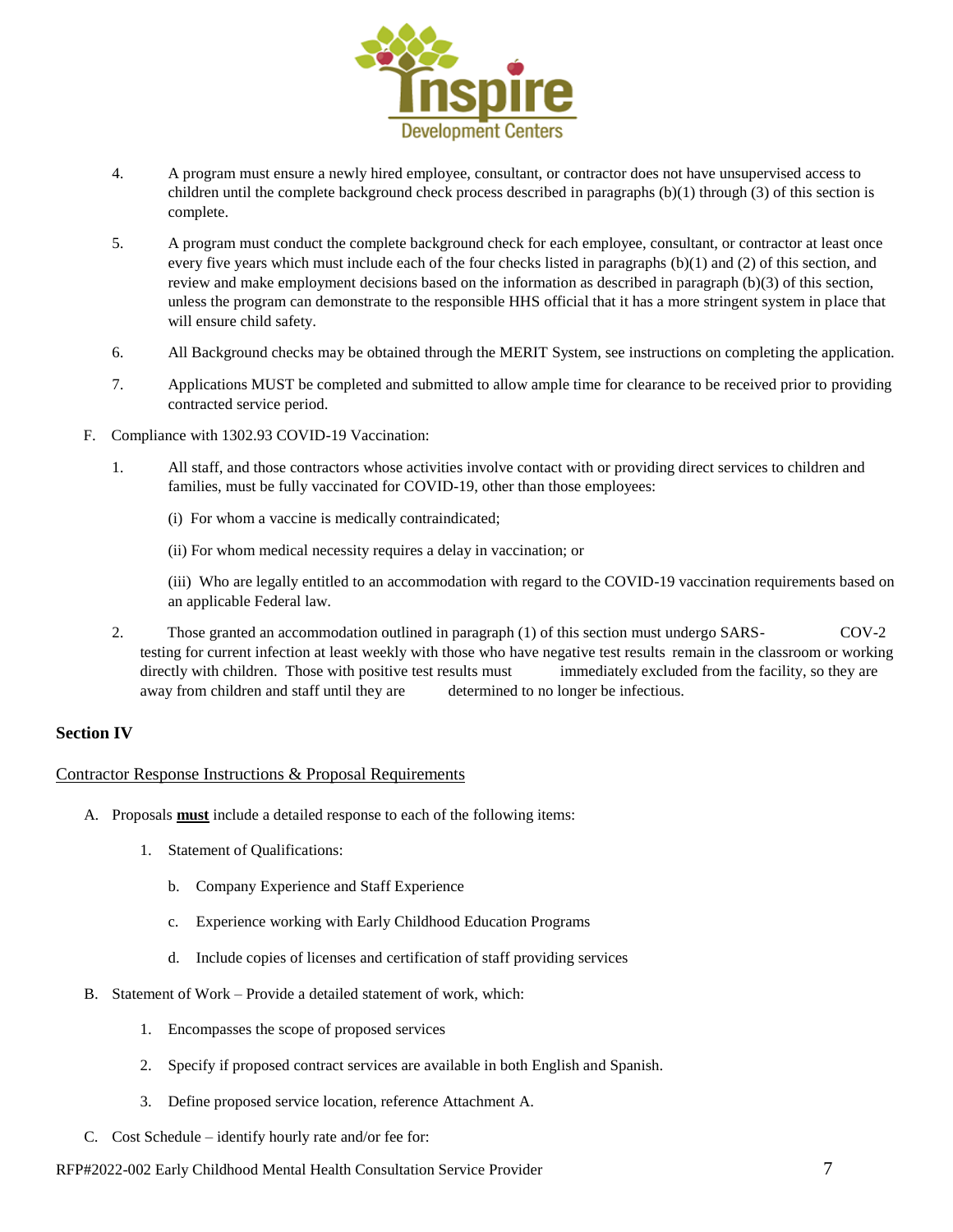

- 4. A program must ensure a newly hired employee, consultant, or contractor does not have unsupervised access to children until the complete background check process described in paragraphs (b)(1) through (3) of this section is complete.
- 5. A program must conduct the complete background check for each employee, consultant, or contractor at least once every five years which must include each of the four checks listed in paragraphs (b)(1) and (2) of this section, and review and make employment decisions based on the information as described in paragraph (b)(3) of this section, unless the program can demonstrate to the responsible HHS official that it has a more stringent system in place that will ensure child safety.
- 6. All Background checks may be obtained through the MERIT System, see instructions on completing the application.
- 7. Applications MUST be completed and submitted to allow ample time for clearance to be received prior to providing contracted service period.
- F. Compliance with 1302.93 COVID-19 Vaccination:
	- 1. All staff, and those contractors whose activities involve contact with or providing direct services to children and families, must be fully vaccinated for COVID-19, other than those employees:
		- (i) For whom a vaccine is medically contraindicated;
		- (ii) For whom medical necessity requires a delay in vaccination; or

(iii) Who are legally entitled to an accommodation with regard to the COVID-19 vaccination requirements based on an applicable Federal law.

2. Those granted an accommodation outlined in paragraph (1) of this section must undergo SARS- COV-2 testing for current infection at least weekly with those who have negative test results remain in the classroom or working directly with children. Those with positive test results must immediately excluded from the facility, so they are away from children and staff until they are determined to no longer be infectious.

## **Section IV**

## Contractor Response Instructions & Proposal Requirements

- A. Proposals **must** include a detailed response to each of the following items:
	- 1. Statement of Qualifications:
		- b. Company Experience and Staff Experience
		- c. Experience working with Early Childhood Education Programs
		- d. Include copies of licenses and certification of staff providing services
- B. Statement of Work Provide a detailed statement of work, which:
	- 1. Encompasses the scope of proposed services
	- 2. Specify if proposed contract services are available in both English and Spanish.
	- 3. Define proposed service location, reference Attachment A.
- C. Cost Schedule identify hourly rate and/or fee for:

## RFP#2022-002 Early Childhood Mental Health Consultation Service Provider 7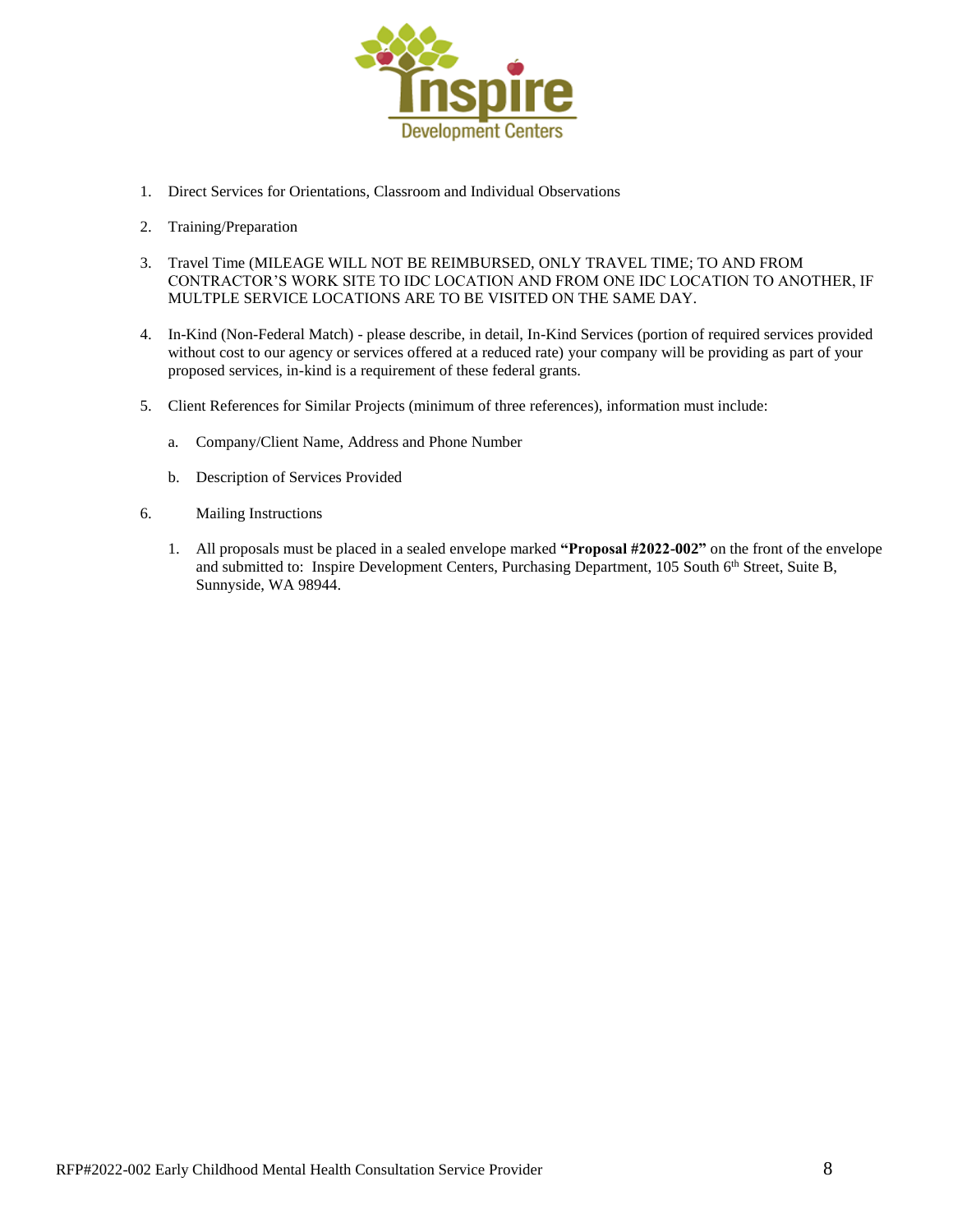

- 1. Direct Services for Orientations, Classroom and Individual Observations
- 2. Training/Preparation
- 3. Travel Time (MILEAGE WILL NOT BE REIMBURSED, ONLY TRAVEL TIME; TO AND FROM CONTRACTOR'S WORK SITE TO IDC LOCATION AND FROM ONE IDC LOCATION TO ANOTHER, IF MULTPLE SERVICE LOCATIONS ARE TO BE VISITED ON THE SAME DAY.
- 4. In-Kind (Non-Federal Match) please describe, in detail, In-Kind Services (portion of required services provided without cost to our agency or services offered at a reduced rate) your company will be providing as part of your proposed services, in-kind is a requirement of these federal grants.
- 5. Client References for Similar Projects (minimum of three references), information must include:
	- a. Company/Client Name, Address and Phone Number
	- b. Description of Services Provided
- 6. Mailing Instructions
	- 1. All proposals must be placed in a sealed envelope marked **"Proposal #2022-002"** on the front of the envelope and submitted to: Inspire Development Centers, Purchasing Department, 105 South 6<sup>th</sup> Street, Suite B, Sunnyside, WA 98944.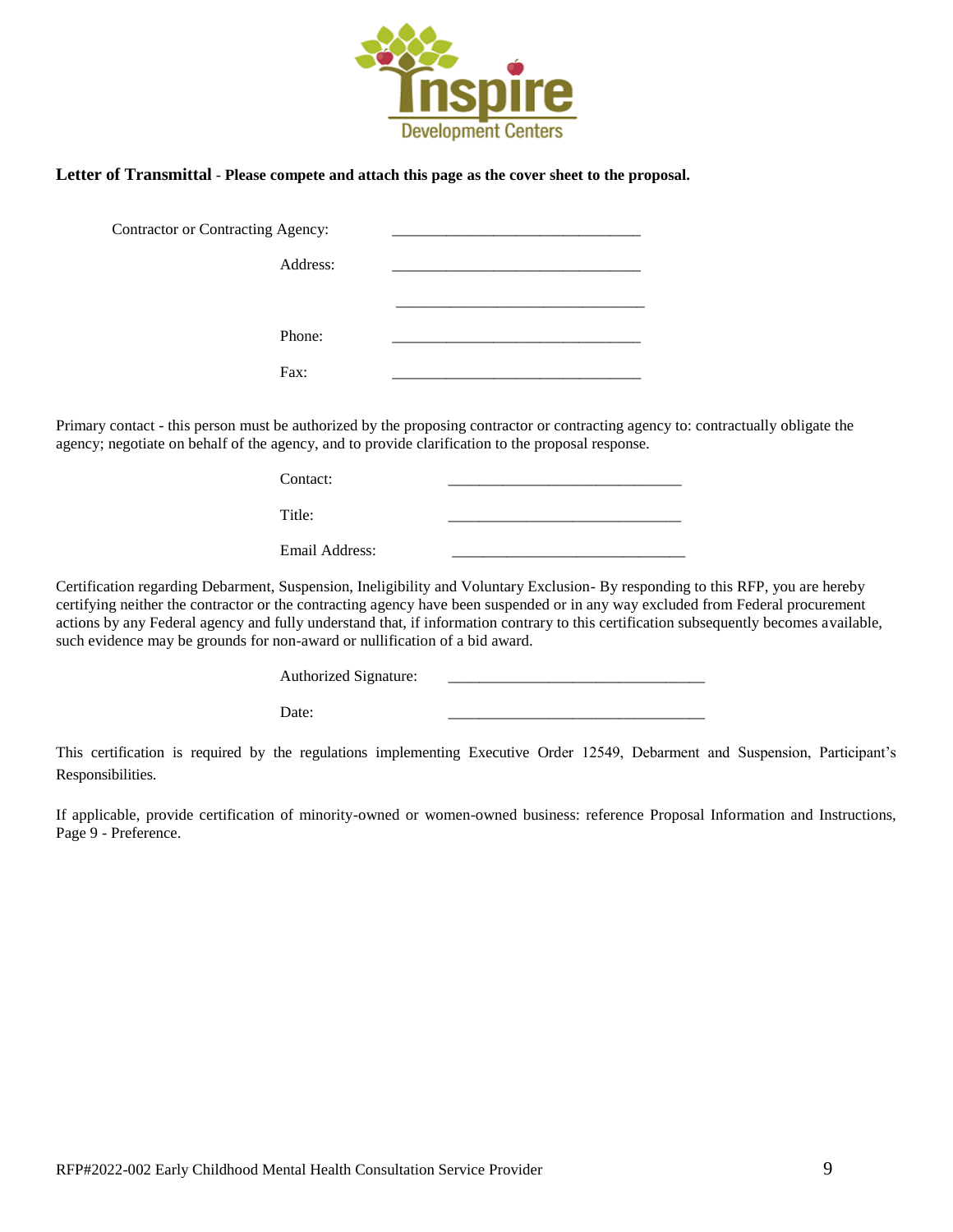

## **Letter of Transmittal** - **Please compete and attach this page as the cover sheet to the proposal.**

| <b>Contractor or Contracting Agency:</b> |  |
|------------------------------------------|--|
| Address:                                 |  |
|                                          |  |
| Phone:                                   |  |
| Fax:                                     |  |

Primary contact - this person must be authorized by the proposing contractor or contracting agency to: contractually obligate the agency; negotiate on behalf of the agency, and to provide clarification to the proposal response.

| Contact:       |  |
|----------------|--|
| Title:         |  |
| Email Address: |  |

Certification regarding Debarment, Suspension, Ineligibility and Voluntary Exclusion- By responding to this RFP, you are hereby certifying neither the contractor or the contracting agency have been suspended or in any way excluded from Federal procurement actions by any Federal agency and fully understand that, if information contrary to this certification subsequently becomes available, such evidence may be grounds for non-award or nullification of a bid award.

| Authorized Signature: |  |
|-----------------------|--|
|-----------------------|--|

Date: \_\_\_\_\_\_\_\_\_\_\_\_\_\_\_\_\_\_\_\_\_\_\_\_\_\_\_\_\_\_\_\_\_

This certification is required by the regulations implementing Executive Order 12549, Debarment and Suspension, Participant's Responsibilities.

If applicable, provide certification of minority-owned or women-owned business: reference Proposal Information and Instructions, Page 9 - Preference.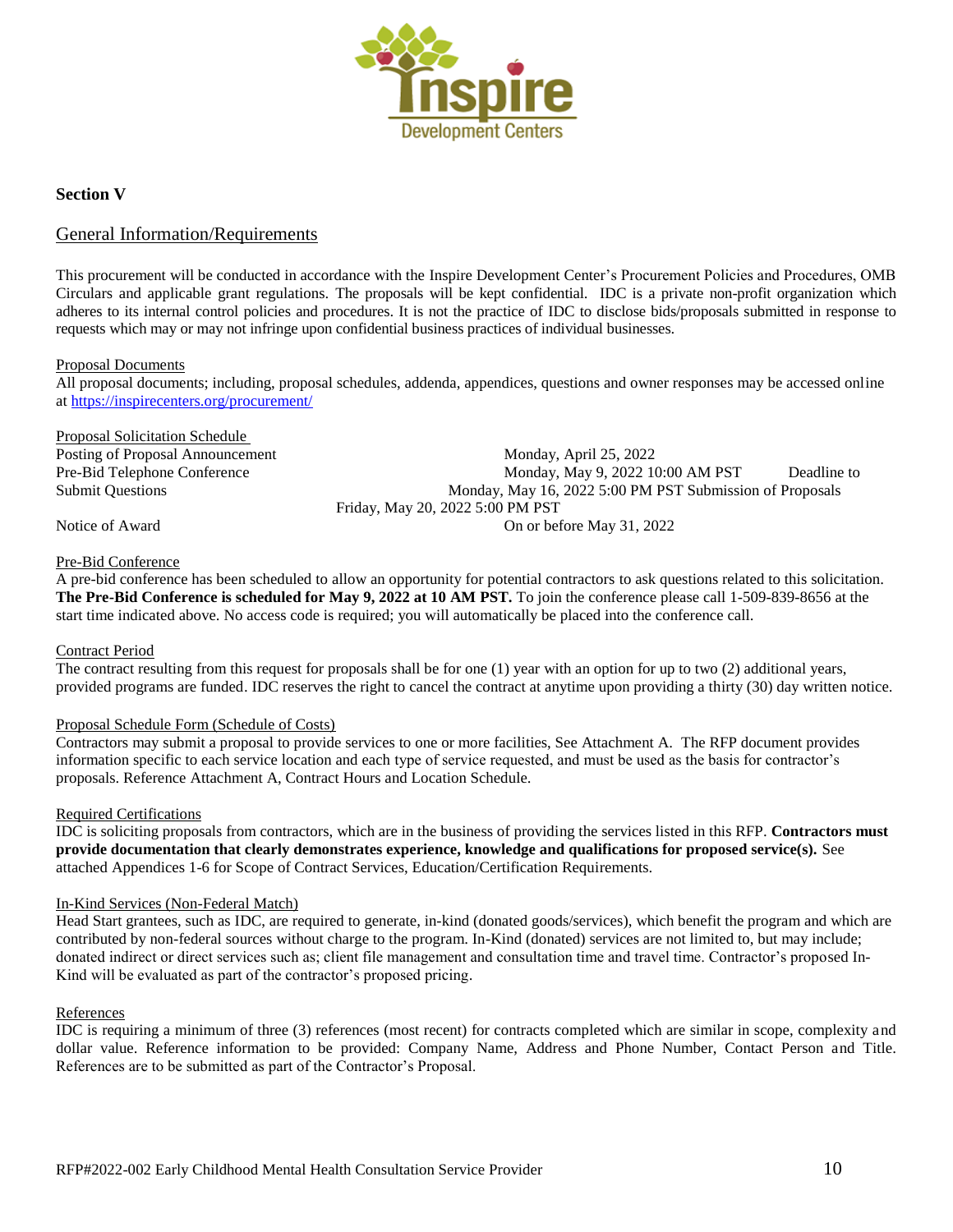

## **Section V**

## General Information/Requirements

This procurement will be conducted in accordance with the Inspire Development Center's Procurement Policies and Procedures, OMB Circulars and applicable grant regulations. The proposals will be kept confidential. IDC is a private non-profit organization which adheres to its internal control policies and procedures. It is not the practice of IDC to disclose bids/proposals submitted in response to requests which may or may not infringe upon confidential business practices of individual businesses.

#### Proposal Documents

All proposal documents; including, proposal schedules, addenda, appendices, questions and owner responses may be accessed online a[t https://inspirecenters.org/procurement/](https://inspirecenters.org/procurement/)

#### Proposal Solicitation Schedule

Posting of Proposal Announcement Monday, April 25, 2022 Pre-Bid Telephone Conference Monday, May 9, 2022 10:00 AM PST Deadline to Submit Questions Monday, May 16, 2022 5:00 PM PST Submission of Proposals Friday, May 20, 2022 5:00 PM PST Notice of Award **On or before May 31, 2022** 

#### Pre-Bid Conference

A pre-bid conference has been scheduled to allow an opportunity for potential contractors to ask questions related to this solicitation. **The Pre-Bid Conference is scheduled for May 9, 2022 at 10 AM PST.** To join the conference please call 1-509-839-8656 at the start time indicated above. No access code is required; you will automatically be placed into the conference call.

## Contract Period

The contract resulting from this request for proposals shall be for one (1) year with an option for up to two (2) additional years, provided programs are funded. IDC reserves the right to cancel the contract at anytime upon providing a thirty (30) day written notice.

## Proposal Schedule Form (Schedule of Costs)

Contractors may submit a proposal to provide services to one or more facilities, See Attachment A. The RFP document provides information specific to each service location and each type of service requested, and must be used as the basis for contractor's proposals. Reference Attachment A, Contract Hours and Location Schedule.

#### Required Certifications

IDC is soliciting proposals from contractors, which are in the business of providing the services listed in this RFP. **Contractors must provide documentation that clearly demonstrates experience, knowledge and qualifications for proposed service(s).** See attached Appendices 1-6 for Scope of Contract Services, Education/Certification Requirements.

#### In-Kind Services (Non-Federal Match)

Head Start grantees, such as IDC, are required to generate, in-kind (donated goods/services), which benefit the program and which are contributed by non-federal sources without charge to the program. In-Kind (donated) services are not limited to, but may include; donated indirect or direct services such as; client file management and consultation time and travel time. Contractor's proposed In-Kind will be evaluated as part of the contractor's proposed pricing.

#### References

IDC is requiring a minimum of three (3) references (most recent) for contracts completed which are similar in scope, complexity and dollar value. Reference information to be provided: Company Name, Address and Phone Number, Contact Person and Title. References are to be submitted as part of the Contractor's Proposal.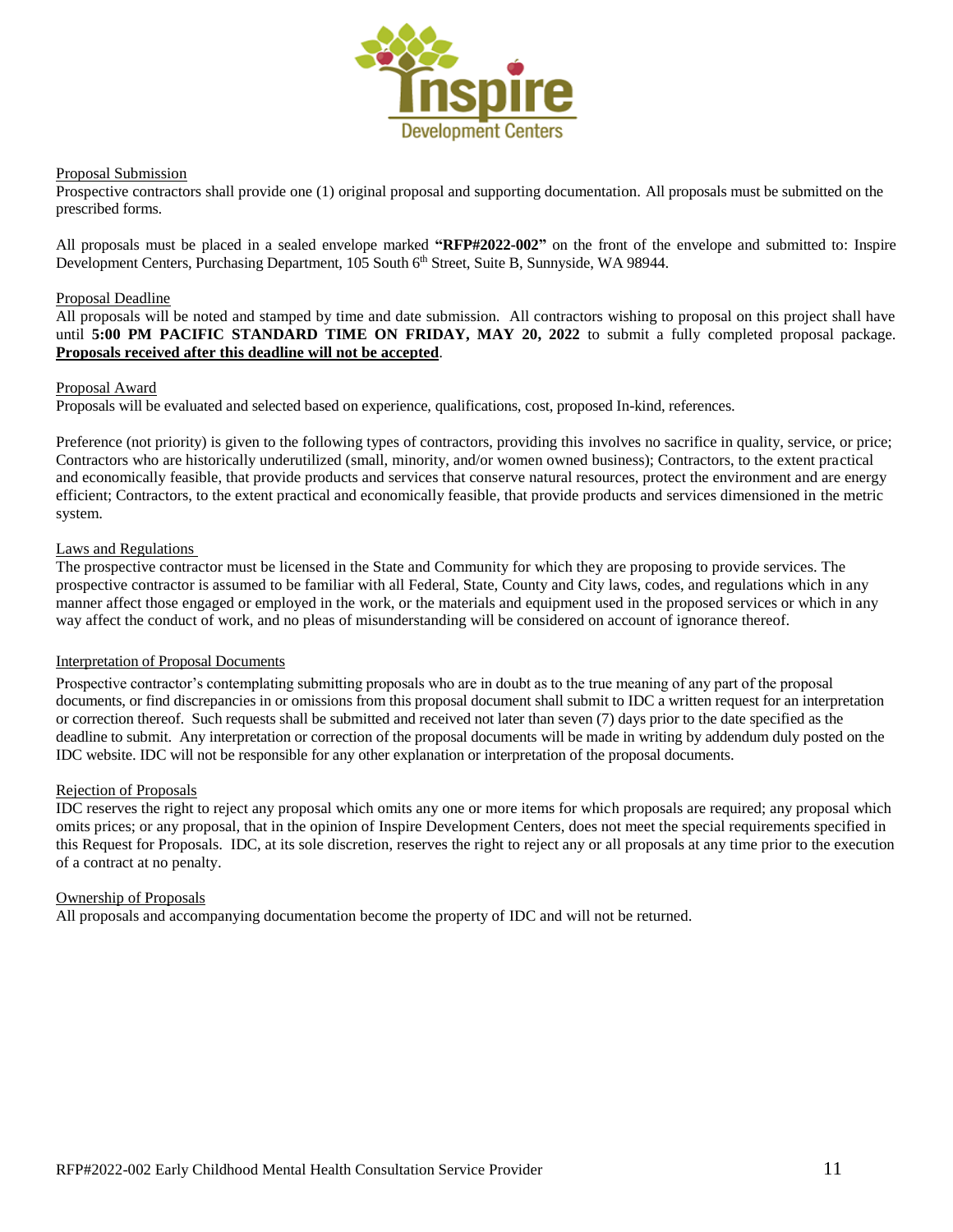

#### Proposal Submission

Prospective contractors shall provide one (1) original proposal and supporting documentation. All proposals must be submitted on the prescribed forms.

All proposals must be placed in a sealed envelope marked **"RFP#2022-002"** on the front of the envelope and submitted to: Inspire Development Centers, Purchasing Department, 105 South 6<sup>th</sup> Street, Suite B, Sunnyside, WA 98944.

### Proposal Deadline

All proposals will be noted and stamped by time and date submission. All contractors wishing to proposal on this project shall have until **5:00 PM PACIFIC STANDARD TIME ON FRIDAY, MAY 20, 2022** to submit a fully completed proposal package. **Proposals received after this deadline will not be accepted**.

#### Proposal Award

Proposals will be evaluated and selected based on experience, qualifications, cost, proposed In-kind, references.

Preference (not priority) is given to the following types of contractors, providing this involves no sacrifice in quality, service, or price; Contractors who are historically underutilized (small, minority, and/or women owned business); Contractors, to the extent practical and economically feasible, that provide products and services that conserve natural resources, protect the environment and are energy efficient; Contractors, to the extent practical and economically feasible, that provide products and services dimensioned in the metric system.

#### Laws and Regulations

The prospective contractor must be licensed in the State and Community for which they are proposing to provide services. The prospective contractor is assumed to be familiar with all Federal, State, County and City laws, codes, and regulations which in any manner affect those engaged or employed in the work, or the materials and equipment used in the proposed services or which in any way affect the conduct of work, and no pleas of misunderstanding will be considered on account of ignorance thereof.

#### Interpretation of Proposal Documents

Prospective contractor's contemplating submitting proposals who are in doubt as to the true meaning of any part of the proposal documents, or find discrepancies in or omissions from this proposal document shall submit to IDC a written request for an interpretation or correction thereof. Such requests shall be submitted and received not later than seven (7) days prior to the date specified as the deadline to submit. Any interpretation or correction of the proposal documents will be made in writing by addendum duly posted on the IDC website. IDC will not be responsible for any other explanation or interpretation of the proposal documents.

#### Rejection of Proposals

IDC reserves the right to reject any proposal which omits any one or more items for which proposals are required; any proposal which omits prices; or any proposal, that in the opinion of Inspire Development Centers, does not meet the special requirements specified in this Request for Proposals. IDC, at its sole discretion, reserves the right to reject any or all proposals at any time prior to the execution of a contract at no penalty.

#### Ownership of Proposals

All proposals and accompanying documentation become the property of IDC and will not be returned.